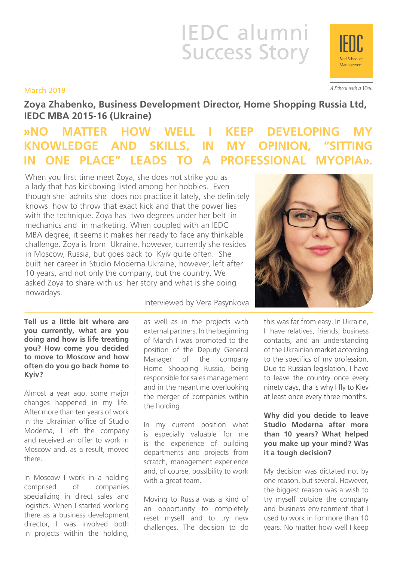# IEDC alumni Success Story

#### March 2019

**Zoya Zhabenko, Business Development Director, Home Shopping Russia Ltd, IEDC MBA 2015-16 (Ukraine)**

## **WAO MATTER HOW WELL I KEEP DEVELOPING KNOWLEDGE AND SKILLS, IN MY OPINION, "SITTING IN ONE PLACE" LEADS TO A PROFESSIONAL MYOPIA».**

When you first time meet Zoya, she does not strike you as a lady that has kickboxing listed among her hobbies. Even though she admits she does not practice it lately, she definitely knows how to throw that exact kick and that the power lies with the technique. Zoya has two degrees under her belt in mechanics and in marketing. When coupled with an IEDC MBA degree, it seems it makes her ready to face any thinkable challenge. Zoya is from Ukraine, however, currently she resides in Moscow, Russia, but goes back to Kyiv quite often. She built her career in Studio Moderna Ukraine, however, left after 10 years, and not only the company, but the country. We asked Zoya to share with us her story and what is she doing nowadays.

**Tell us a little bit where are you currently, what are you doing and how is life treating you? How come you decided to move to Moscow and how often do you go back home to Kyiv?**

Almost a year ago, some major changes happened in my life. After more than ten years of work in the Ukrainian office of Studio Moderna, I left the company and received an offer to work in Moscow and, as a result, moved there.

In Moscow I work in a holding comprised of companies specializing in direct sales and logistics. When I started working there as a business development director, I was involved both in projects within the holding, Interviewed by Vera Pasynkova

as well as in the projects with external partners. In the beginning of March I was promoted to the position of the Deputy General Manager of the company Home Shopping Russia, being responsible for sales management and in the meantime overlooking the merger of companies within the holding.

In my current position what is especially valuable for me is the experience of building departments and projects from scratch, management experience and, of course, possibility to work with a great team.

Moving to Russia was a kind of an opportunity to completely reset myself and to try new challenges. The decision to do

this was far from easy. In Ukraine, I have relatives, friends, business contacts, and an understanding of the Ukrainian market according to the specifics of my profession. Due to Russian legislation, I have to leave the country once every ninety days, tha is why I fly to Kiev at least once every three months.

**Why did you decide to leave Studio Moderna after more than 10 years? What helped you make up your mind? Was it a tough decision?**

My decision was dictated not by one reason, but several. However, the biggest reason was a wish to try myself outside the company and business environment that I used to work in for more than 10 years. No matter how well I keep





A School with a View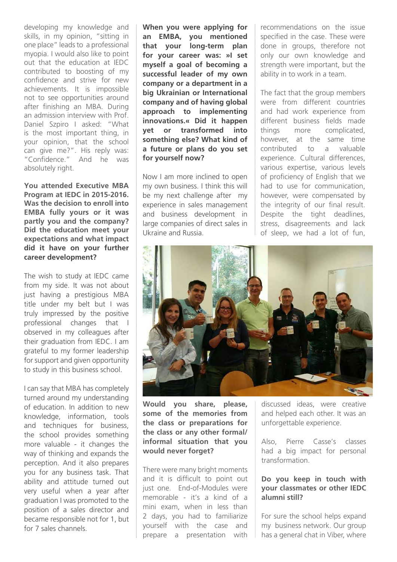developing my knowledge and skills, in my opinion, "sitting in one place" leads to a professional myopia. I would also like to point out that the education at IEDC contributed to boosting of my confidence and strive for new achievements. It is impossible not to see opportunities around after finishing an MBA. During an admission interview with Prof. Daniel Szpiro I asked: "What is the most important thing, in your opinion, that the school can give me?". His reply was: "Confidence." And he was absolutely right.

**You attended Executive MBA Program at IEDC in 2015-2016. Was the decision to enroll into EMBA fully yours or it was partly you and the company? Did the education meet your expectations and what impact did it have on your further career development?**

The wish to study at IEDC came from my side. It was not about just having a prestigious MBA title under my belt but I was truly impressed by the positive professional changes that I observed in my colleagues after their graduation from IEDC. I am grateful to my former leadership for support and given opportunity to study in this business school.

I can say that MBA has completely turned around my understanding of education. In addition to new knowledge, information, tools and techniques for business, the school provides something more valuable - it changes the way of thinking and expands the perception. And it also prepares you for any business task. That ability and attitude turned out very useful when a year after graduation I was promoted to the position of a sales director and became responsible not for 1, but for 7 sales channels.

**When you were applying for an EMBA, you mentioned that your long-term plan for your career was: »I set myself a goal of becoming a successful leader of my own company or a department in a big Ukrainian or International company and of having global approach to implementing innovations.« Did it happen yet or transformed into something else? What kind of a future or plans do you set for yourself now?**

Now I am more inclined to open my own business. I think this will be my next challenge after my experience in sales management and business development in large companies of direct sales in Ukraine and Russia.

recommendations on the issue specified in the case. These were done in groups, therefore not only our own knowledge and strength were important, but the ability in to work in a team.

The fact that the group members were from different countries and had work experience from different business fields made things more complicated, however, at the same time contributed to a valuable experience. Cultural differences, various expertise, various levels of proficiency of English that we had to use for communication, however, were compensated by the integrity of our final result. Despite the tight deadlines, stress, disagreements and lack of sleep, we had a lot of fun,



**Would you share, please, some of the memories from the class or preparations for the class or any other formal/ informal situation that you would never forget?**

There were many bright moments and it is difficult to point out just one. End-of-Modules were memorable - it's a kind of a mini exam, when in less than 2 days, you had to familiarize yourself with the case and prepare a presentation with

discussed ideas, were creative and helped each other. It was an unforgettable experience.

Also, Pierre Casse's classes had a big impact for personal transformation.

#### **Do you keep in touch with your classmates or other IEDC alumni still?**

For sure the school helps expand my business network. Our group | has a general chat in Viber, where